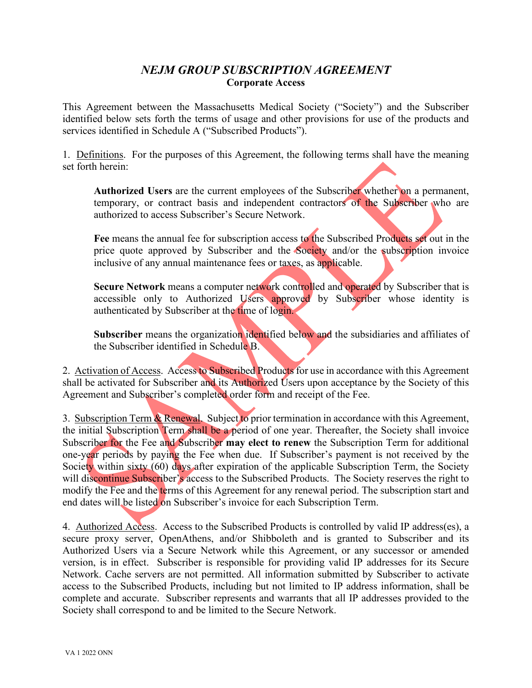# *NEJM GROUP SUBSCRIPTION AGREEMENT* **Corporate Access**

This Agreement between the Massachusetts Medical Society ("Society") and the Subscriber identified below sets forth the terms of usage and other provisions for use of the products and services identified in Schedule A ("Subscribed Products").

1. Definitions. For the purposes of this Agreement, the following terms shall have the meaning set forth herein:

**Authorized Users** are the current employees of the Subscriber whether on a permanent, temporary, or contract basis and independent contractors of the Subscriber who are authorized to access Subscriber's Secure Network.

**Fee** means the annual fee for subscription access to the Subscribed Products set out in the price quote approved by Subscriber and the Society and/or the subscription invoice inclusive of any annual maintenance fees or taxes, as applicable.

**Secure Network** means a computer network controlled and operated by Subscriber that is accessible only to Authorized Users approved by Subscriber whose identity is authenticated by Subscriber at the time of login.

Subscriber means the organization identified below and the subsidiaries and affiliates of the Subscriber identified in Schedule B.

2. Activation of Access. Access to Subscribed Products for use in accordance with this Agreement shall be activated for Subscriber and its Authorized Users upon acceptance by the Society of this Agreement and Subscriber's completed order form and receipt of the Fee.

3. Subscription Term & Renewal. Subject to prior termination in accordance with this Agreement, the initial Subscription Term shall be a period of one year. Thereafter, the Society shall invoice Subscriber for the Fee and Subscriber **may elect to renew** the Subscription Term for additional one-year periods by paying the Fee when due. If Subscriber's payment is not received by the Society within sixty (60) days after expiration of the applicable Subscription Term, the Society will discontinue Subscriber's access to the Subscribed Products. The Society reserves the right to modify the Fee and the terms of this Agreement for any renewal period. The subscription start and end dates will be listed on Subscriber's invoice for each Subscription Term.

4.Authorized Access. Access to the Subscribed Products is controlled by valid IP address(es), a secure proxy server, OpenAthens, and/or Shibboleth and is granted to Subscriber and its Authorized Users via a Secure Network while this Agreement, or any successor or amended version, is in effect. Subscriber is responsible for providing valid IP addresses for its Secure Network. Cache servers are not permitted. All information submitted by Subscriber to activate access to the Subscribed Products, including but not limited to IP address information, shall be complete and accurate. Subscriber represents and warrants that all IP addresses provided to the Society shall correspond to and be limited to the Secure Network.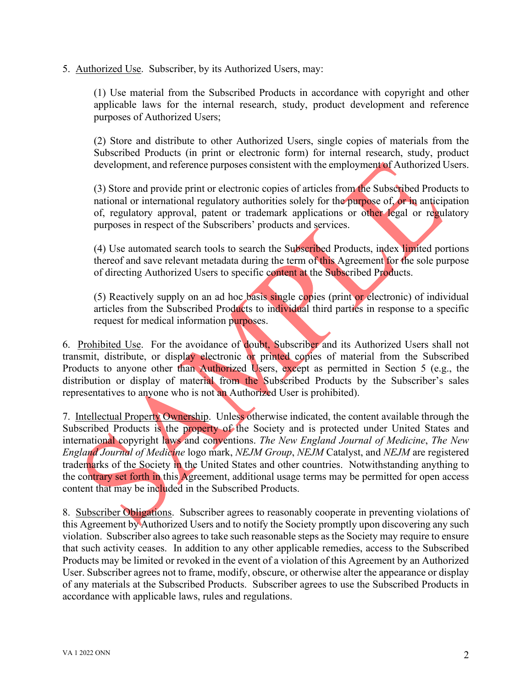5. Authorized Use. Subscriber, by its Authorized Users, may:

(1) Use material from the Subscribed Products in accordance with copyright and other applicable laws for the internal research, study, product development and reference purposes of Authorized Users;

(2) Store and distribute to other Authorized Users, single copies of materials from the Subscribed Products (in print or electronic form) for internal research, study, product development, and reference purposes consistent with the employment of Authorized Users.

(3) Store and provide print or electronic copies of articles from the Subscribed Products to national or international regulatory authorities solely for the purpose of, or in anticipation of, regulatory approval, patent or trademark applications or other legal or regulatory purposes in respect of the Subscribers' products and services.

(4) Use automated search tools to search the Subscribed Products, index limited portions thereof and save relevant metadata during the term of this Agreement for the sole purpose of directing Authorized Users to specific content at the Subscribed Products.

(5) Reactively supply on an ad hoc basis single copies (print or electronic) of individual articles from the Subscribed Products to individual third parties in response to a specific request for medical information purposes.

6. Prohibited Use.For the avoidance of doubt, Subscriber and its Authorized Users shall not transmit, distribute, or display electronic or printed copies of material from the Subscribed Products to anyone other than Authorized Users, except as permitted in Section 5 (e.g., the distribution or display of material from the Subscribed Products by the Subscriber's sales representatives to anyone who is not an Authorized User is prohibited).

7. Intellectual Property Ownership. Unless otherwise indicated, the content available through the Subscribed Products is the property of the Society and is protected under United States and international copyright laws and conventions. *The New England Journal of Medicine*, *The New England Journal of Medicine* logo mark, *NEJM Group*, *NEJM* Catalyst, and *NEJM* are registered trademarks of the Society in the United States and other countries. Notwithstanding anything to the contrary set forth in this Agreement, additional usage terms may be permitted for open access content that may be included in the Subscribed Products.

8. Subscriber Obligations. Subscriber agrees to reasonably cooperate in preventing violations of this Agreement by Authorized Users and to notify the Society promptly upon discovering any such violation. Subscriber also agrees to take such reasonable steps as the Society may require to ensure that such activity ceases. In addition to any other applicable remedies, access to the Subscribed Products may be limited or revoked in the event of a violation of this Agreement by an Authorized User. Subscriber agrees not to frame, modify, obscure, or otherwise alter the appearance or display of any materials at the Subscribed Products. Subscriber agrees to use the Subscribed Products in accordance with applicable laws, rules and regulations.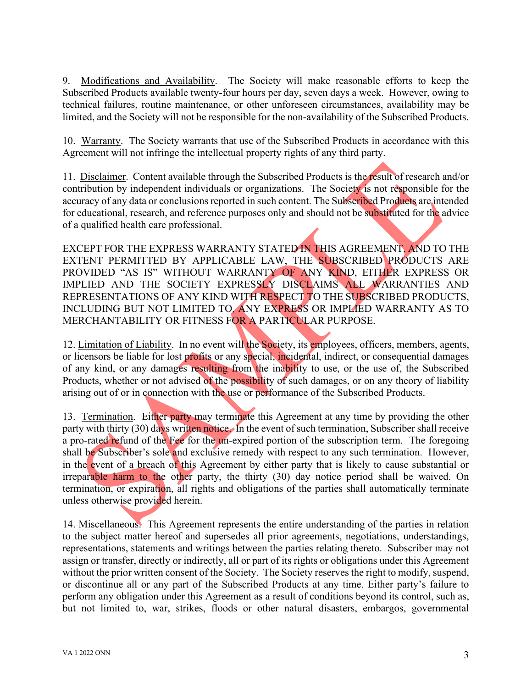9. Modifications and Availability. The Society will make reasonable efforts to keep the Subscribed Products available twenty-four hours per day, seven days a week. However, owing to technical failures, routine maintenance, or other unforeseen circumstances, availability may be limited, and the Society will not be responsible for the non-availability of the Subscribed Products.

10. Warranty. The Society warrants that use of the Subscribed Products in accordance with this Agreement will not infringe the intellectual property rights of any third party.

11. Disclaimer. Content available through the Subscribed Products is the result of research and/or contribution by independent individuals or organizations. The Society is not responsible for the accuracy of any data or conclusions reported in such content. The Subscribed Products are intended for educational, research, and reference purposes only and should not be substituted for the advice of a qualified health care professional.

EXCEPT FOR THE EXPRESS WARRANTY STATED IN THIS AGREEMENT, AND TO THE EXTENT PERMITTED BY APPLICABLE LAW, THE SUBSCRIBED PRODUCTS ARE PROVIDED "AS IS" WITHOUT WARRANTY OF ANY KIND, EITHER EXPRESS OR IMPLIED AND THE SOCIETY EXPRESSLY DISCLAIMS ALL WARRANTIES AND REPRESENTATIONS OF ANY KIND WITH RESPECT TO THE SUBSCRIBED PRODUCTS, INCLUDING BUT NOT LIMITED TO, ANY EXPRESS OR IMPLIED WARRANTY AS TO MERCHANTABILITY OR FITNESS FOR A PARTICULAR PURPOSE.

12. Limitation of Liability. In no event will the Society, its employees, officers, members, agents, or licensors be liable for lost profits or any special, incidental, indirect, or consequential damages of any kind, or any damages resulting from the inability to use, or the use of, the Subscribed Products, whether or not advised of the possibility of such damages, or on any theory of liability arising out of or in connection with the use or performance of the Subscribed Products.

13. Termination. Either party may terminate this Agreement at any time by providing the other party with thirty (30) days written notice. In the event of such termination, Subscriber shall receive a pro-rated refund of the Fee for the un-expired portion of the subscription term. The foregoing shall be Subscriber's sole and exclusive remedy with respect to any such termination. However, in the event of a breach of this Agreement by either party that is likely to cause substantial or irreparable harm to the other party, the thirty (30) day notice period shall be waived. On termination, or expiration, all rights and obligations of the parties shall automatically terminate unless otherwise provided herein.

14. Miscellaneous. This Agreement represents the entire understanding of the parties in relation to the subject matter hereof and supersedes all prior agreements, negotiations, understandings, representations, statements and writings between the parties relating thereto. Subscriber may not assign or transfer, directly or indirectly, all or part of its rights or obligations under this Agreement without the prior written consent of the Society. The Society reserves the right to modify, suspend, or discontinue all or any part of the Subscribed Products at any time. Either party's failure to perform any obligation under this Agreement as a result of conditions beyond its control, such as, but not limited to, war, strikes, floods or other natural disasters, embargos, governmental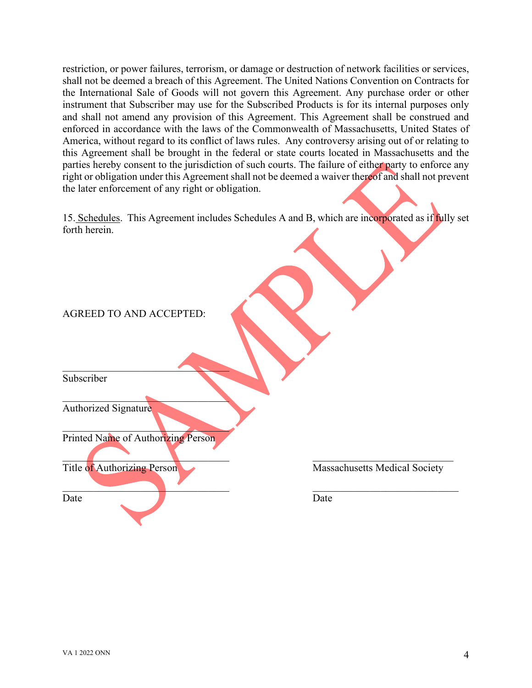restriction, or power failures, terrorism, or damage or destruction of network facilities or services, shall not be deemed a breach of this Agreement. The United Nations Convention on Contracts for the International Sale of Goods will not govern this Agreement. Any purchase order or other instrument that Subscriber may use for the Subscribed Products is for its internal purposes only and shall not amend any provision of this Agreement. This Agreement shall be construed and enforced in accordance with the laws of the Commonwealth of Massachusetts, United States of America, without regard to its conflict of laws rules. Any controversy arising out of or relating to this Agreement shall be brought in the federal or state courts located in Massachusetts and the parties hereby consent to the jurisdiction of such courts. The failure of either party to enforce any right or obligation under this Agreement shall not be deemed a waiver thereof and shall not prevent the later enforcement of any right or obligation.

15. Schedules. This Agreement includes Schedules A and B, which are incorporated as if fully set forth herein.

 $\mathcal{L} = \{ \mathcal{L} \mid \mathcal{L} \in \mathcal{L} \}$ 

Subscriber

Authorized Signature

Printed Name of Authorizing Person

 $\mathcal{L}$ 

 $\mathcal{L}=\mathcal{L}=\mathcal{L}=\mathcal{L}=\mathcal{L}=\mathcal{L}=\mathcal{L}=\mathcal{L}=\mathcal{L}=\mathcal{L}=\mathcal{L}=\mathcal{L}=\mathcal{L}=\mathcal{L}=\mathcal{L}=\mathcal{L}=\mathcal{L}=\mathcal{L}=\mathcal{L}=\mathcal{L}=\mathcal{L}=\mathcal{L}=\mathcal{L}=\mathcal{L}=\mathcal{L}=\mathcal{L}=\mathcal{L}=\mathcal{L}=\mathcal{L}=\mathcal{L}=\mathcal{L}=\mathcal{L}=\mathcal{L}=\mathcal{L}=\mathcal{L}=\mathcal{L}=\mathcal{$ 

 $\mathcal{L}=\mathcal{L}$ 

\_\_\_\_\_\_\_\_\_\_\_\_\_\_\_\_\_\_\_\_\_\_\_\_\_\_\_\_\_\_\_\_ \_\_\_\_\_\_\_\_\_\_\_\_\_\_\_\_\_\_\_\_\_\_\_\_\_\_\_

Date Date Date

Title of Authorizing Person Massachusetts Medical Society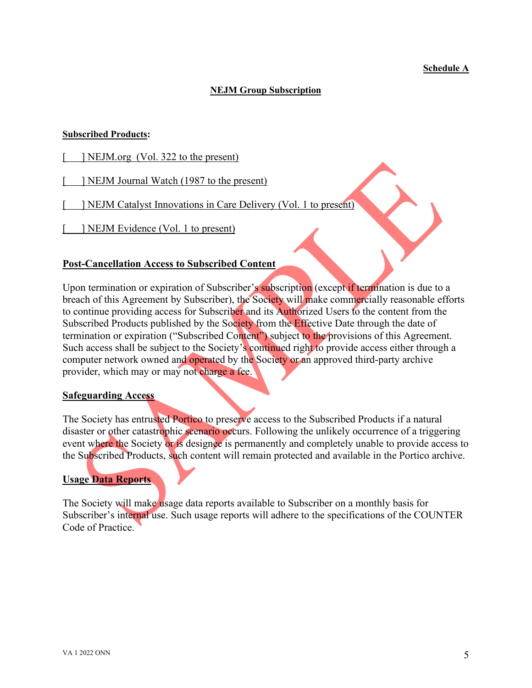#### **Schedule A**

### **NEJM Group Subscription**

#### **Subscribed Products:**

- [ NEJM.org (Vol. 322 to the present)
- [ ] NEJM Journal Watch (1987 to the present)
- [ ] NEJM Catalyst Innovations in Care Delivery (Vol. 1 to present)
- [ ] NEJM Evidence (Vol. 1 to present)

## **Post-Cancellation Access to Subscribed Content**

Upon termination or expiration of Subscriber's subscription (except if termination is due to a breach of this Agreement by Subscriber), the Society will make commercially reasonable efforts to continue providing access for Subscriber and its Authorized Users to the content from the Subscribed Products published by the Society from the Effective Date through the date of termination or expiration ("Subscribed Content") subject to the provisions of this Agreement. Such access shall be subject to the Society's continued right to provide access either through a computer network owned and operated by the Society or an approved third-party archive provider, which may or may not charge a fee.

#### **Safeguarding Access**

The Society has entrusted Portico to preserve access to the Subscribed Products if a natural disaster or other catastrophic scenario occurs. Following the unlikely occurrence of a triggering event where the Society or is designee is permanently and completely unable to provide access to the Subscribed Products, such content will remain protected and available in the Portico archive.

## **Usage Data Reports**

The Society will make usage data reports available to Subscriber on a monthly basis for Subscriber's internal use. Such usage reports will adhere to the specifications of the COUNTER Code of Practice.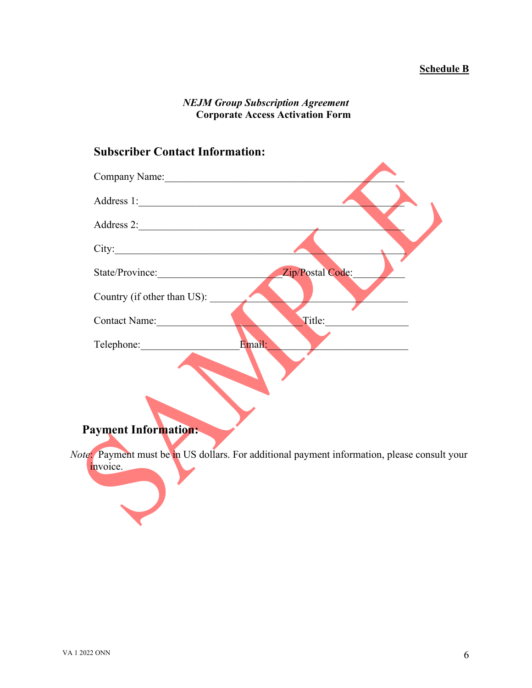# *NEJM Group Subscription Agreement* **Corporate Access Activation Form**

# **Subscriber Contact Information:**

| Company Name:                       |  |
|-------------------------------------|--|
|                                     |  |
| Address 2:                          |  |
| City:                               |  |
| Zip/Postal Code:<br>State/Province: |  |
| Country (if other than US):         |  |
| Title:<br><b>Contact Name:</b>      |  |
| Email:<br>Telephone:                |  |
|                                     |  |
|                                     |  |
|                                     |  |
| <b>Payment Information:</b>         |  |

*Note*: Payment must be in US dollars. For additional payment information, please consult your invoice.